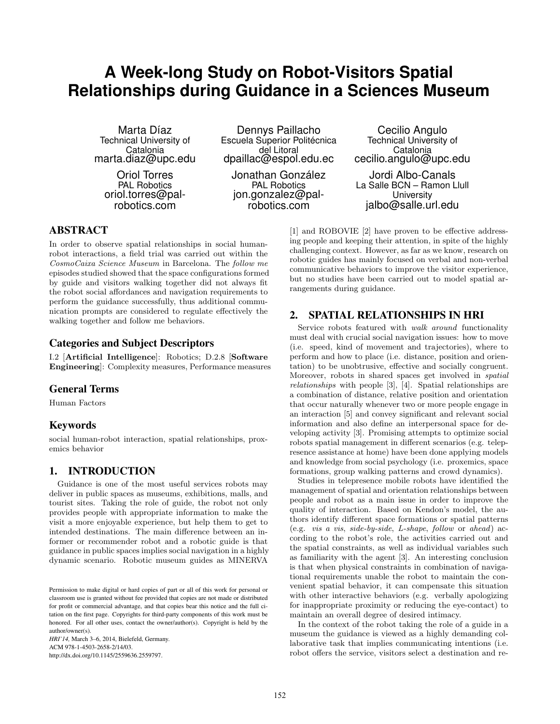# **A Week-long Study on Robot-Visitors Spatial Relationships during Guidance in a Sciences Museum**

Marta Díaz Technical University of Catalonia marta.diaz@upc.edu

Oriol Torres PAL Robotics oriol.torres@palrobotics.com

Dennys Paillacho Escuela Superior Politécnica del Litoral dpaillac@espol.edu.ec

Jonathan González PAL Robotics jon.gonzalez@palrobotics.com

Cecilio Angulo Technical University of Catalonia cecilio.angulo@upc.edu

Jordi Albo-Canals La Salle BCN – Ramon Llull **University** jalbo@salle.url.edu

## ABSTRACT

In order to observe spatial relationships in social humanrobot interactions, a field trial was carried out within the *CosmoCaixa Science Museum* in Barcelona. The *follow me* episodes studied showed that the space configurations formed by guide and visitors walking together did not always fit the robot social affordances and navigation requirements to perform the guidance successfully, thus additional communication prompts are considered to regulate effectively the walking together and follow me behaviors.

#### Categories and Subject Descriptors

I.2 [**Artificial Intelligence**]: Robotics; D.2.8 [**Software Engineering**]: Complexity measures, Performance measures

## General Terms

Human Factors

#### Keywords

social human-robot interaction, spatial relationships, proxemics behavior

#### 1. INTRODUCTION

Guidance is one of the most useful services robots may deliver in public spaces as museums, exhibitions, malls, and tourist sites. Taking the role of guide, the robot not only provides people with appropriate information to make the visit a more enjoyable experience, but help them to get to intended destinations. The main difference between an informer or recommender robot and a robotic guide is that guidance in public spaces implies social navigation in a highly dynamic scenario. Robotic museum guides as MINERVA

*HRI'14,* March 3–6, 2014, Bielefeld, Germany. ACM 978-1-4503-2658-2/14/03. http://dx.doi.org/10.1145/2559636.2559797.

[1] and ROBOVIE [2] have proven to be effective addressing people and keeping their attention, in spite of the highly challenging context. However, as far as we know, research on robotic guides has mainly focused on verbal and non-verbal communicative behaviors to improve the visitor experience, but no studies have been carried out to model spatial arrangements during guidance.

#### 2. SPATIAL RELATIONSHIPS IN HRI

Service robots featured with *walk around* functionality must deal with crucial social navigation issues: how to move (i.e. speed, kind of movement and trajectories), where to perform and how to place (i.e. distance, position and orientation) to be unobtrusive, effective and socially congruent. Moreover, robots in shared spaces get involved in *spatial relationships* with people [3], [4]. Spatial relationships are a combination of distance, relative position and orientation that occur naturally whenever two or more people engage in an interaction [5] and convey significant and relevant social information and also define an interpersonal space for developing activity [3]. Promising attempts to optimize social robots spatial management in different scenarios (e.g. telepresence assistance at home) have been done applying models and knowledge from social psychology (i.e. proxemics, space formations, group walking patterns and crowd dynamics).

Studies in telepresence mobile robots have identified the management of spatial and orientation relationships between people and robot as a main issue in order to improve the quality of interaction. Based on Kendon's model, the authors identify different space formations or spatial patterns (e.g. *vis a vis*, *side-by-side*, *L-shape*, *follow* or *ahead*) according to the robot's role, the activities carried out and the spatial constraints, as well as individual variables such as familiarity with the agent [3]. An interesting conclusion is that when physical constraints in combination of navigational requirements unable the robot to maintain the convenient spatial behavior, it can compensate this situation with other interactive behaviors (e.g. verbally apologizing for inappropriate proximity or reducing the eye-contact) to maintain an overall degree of desired intimacy.

In the context of the robot taking the role of a guide in a museum the guidance is viewed as a highly demanding collaborative task that implies communicating intentions (i.e. robot offers the service, visitors select a destination and re-

Permission to make digital or hard copies of part or all of this work for personal or classroom use is granted without fee provided that copies are not made or distributed for profit or commercial advantage, and that copies bear this notice and the full citation on the first page. Copyrights for third-party components of this work must be honored. For all other uses, contact the owner/author(s). Copyright is held by the author/owner(s).